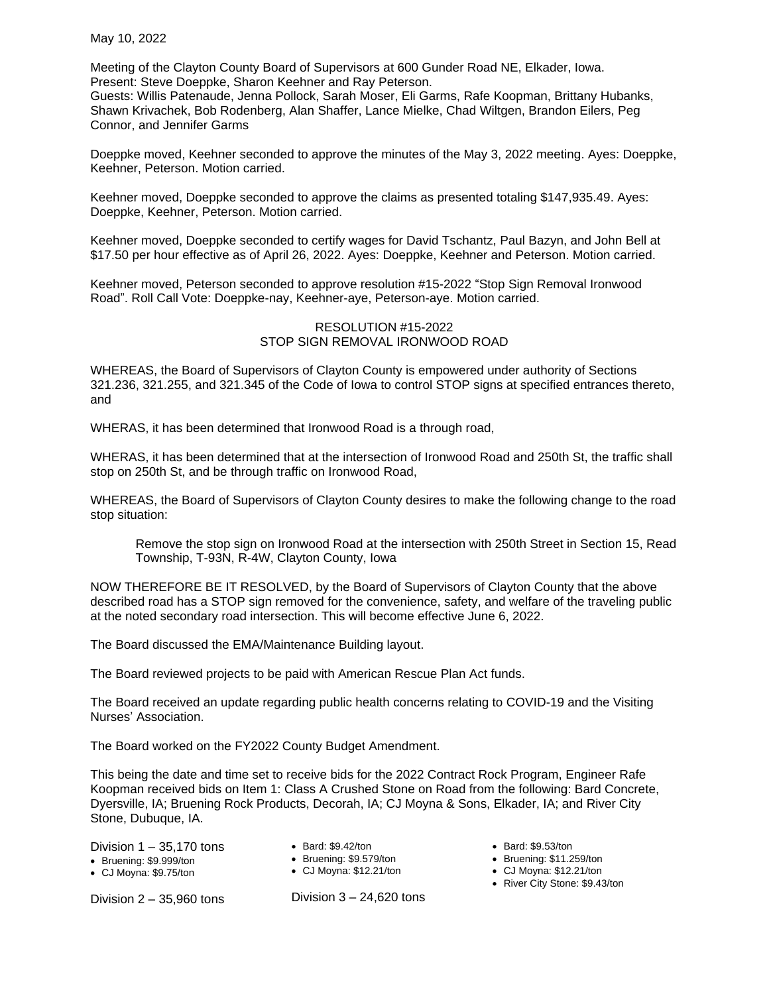May 10, 2022

Meeting of the Clayton County Board of Supervisors at 600 Gunder Road NE, Elkader, Iowa. Present: Steve Doeppke, Sharon Keehner and Ray Peterson.

Guests: Willis Patenaude, Jenna Pollock, Sarah Moser, Eli Garms, Rafe Koopman, Brittany Hubanks, Shawn Krivachek, Bob Rodenberg, Alan Shaffer, Lance Mielke, Chad Wiltgen, Brandon Eilers, Peg Connor, and Jennifer Garms

Doeppke moved, Keehner seconded to approve the minutes of the May 3, 2022 meeting. Ayes: Doeppke, Keehner, Peterson. Motion carried.

Keehner moved, Doeppke seconded to approve the claims as presented totaling \$147,935.49. Ayes: Doeppke, Keehner, Peterson. Motion carried.

Keehner moved, Doeppke seconded to certify wages for David Tschantz, Paul Bazyn, and John Bell at \$17.50 per hour effective as of April 26, 2022. Ayes: Doeppke, Keehner and Peterson. Motion carried.

Keehner moved, Peterson seconded to approve resolution #15-2022 "Stop Sign Removal Ironwood Road". Roll Call Vote: Doeppke-nay, Keehner-aye, Peterson-aye. Motion carried.

## RESOLUTION #15-2022 STOP SIGN REMOVAL IRONWOOD ROAD

WHEREAS, the Board of Supervisors of Clayton County is empowered under authority of Sections 321.236, 321.255, and 321.345 of the Code of Iowa to control STOP signs at specified entrances thereto, and

WHERAS, it has been determined that Ironwood Road is a through road,

WHERAS, it has been determined that at the intersection of Ironwood Road and 250th St, the traffic shall stop on 250th St, and be through traffic on Ironwood Road,

WHEREAS, the Board of Supervisors of Clayton County desires to make the following change to the road stop situation:

Remove the stop sign on Ironwood Road at the intersection with 250th Street in Section 15, Read Township, T-93N, R-4W, Clayton County, Iowa

NOW THEREFORE BE IT RESOLVED, by the Board of Supervisors of Clayton County that the above described road has a STOP sign removed for the convenience, safety, and welfare of the traveling public at the noted secondary road intersection. This will become effective June 6, 2022.

The Board discussed the EMA/Maintenance Building layout.

The Board reviewed projects to be paid with American Rescue Plan Act funds.

The Board received an update regarding public health concerns relating to COVID-19 and the Visiting Nurses' Association.

The Board worked on the FY2022 County Budget Amendment.

This being the date and time set to receive bids for the 2022 Contract Rock Program, Engineer Rafe Koopman received bids on Item 1: Class A Crushed Stone on Road from the following: Bard Concrete, Dyersville, IA; Bruening Rock Products, Decorah, IA; CJ Moyna & Sons, Elkader, IA; and River City Stone, Dubuque, IA.

Division 1 – 35,170 tons

- Bard: \$9.42/ton
- Bruening: \$9.999/ton
- CJ Moyna: \$9.75/ton

Division  $2 - 35,960$  tons

- Bruening: \$9.579/ton
- 
- CJ Moyna: \$12.21/ton
- $\bullet$  Bard: \$9.53/ton
- Bruening: \$11.259/ton
- CJ Moyna: \$12.21/ton
- River City Stone: \$9.43/ton

Division 3 – 24,620 tons